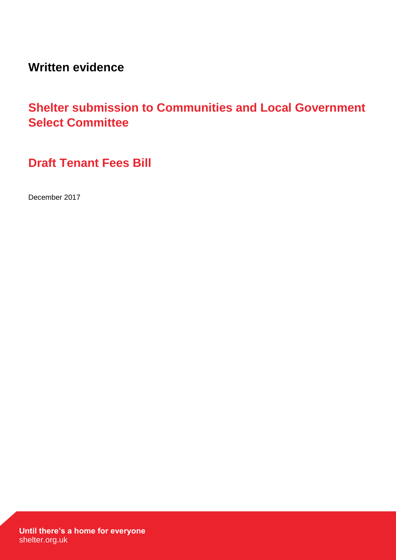**Written evidence**

# **Shelter submission to Communities and Local Government Select Committee**

**Draft Tenant Fees Bill**

December 2017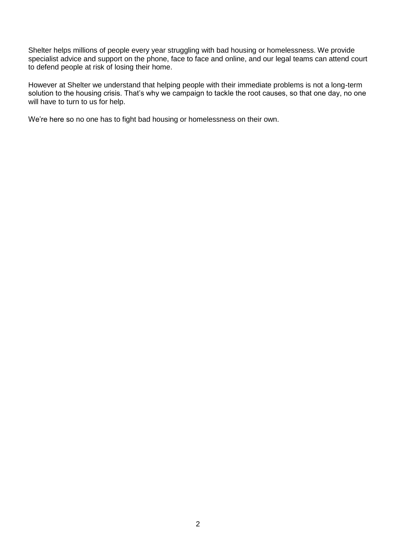Shelter helps millions of people every year struggling with bad housing or homelessness. We provide specialist advice and support on the phone, face to face and online, and our legal teams can attend court to defend people at risk of losing their home.

However at Shelter we understand that helping people with their immediate problems is not a long-term solution to the housing crisis. That's why we campaign to tackle the root causes, so that one day, no one will have to turn to us for help.

We're here so no one has to fight bad housing or homelessness on their own.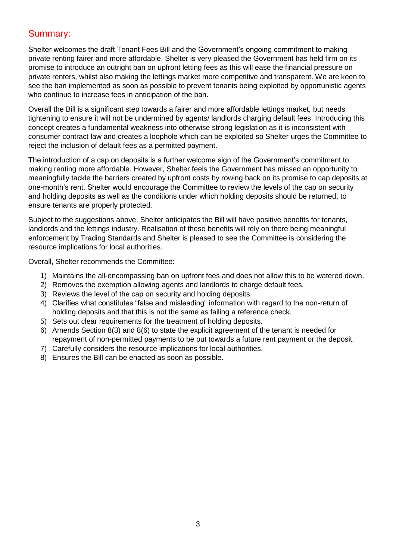# Summary:

Shelter welcomes the draft Tenant Fees Bill and the Government's ongoing commitment to making private renting fairer and more affordable. Shelter is very pleased the Government has held firm on its promise to introduce an outright ban on upfront letting fees as this will ease the financial pressure on private renters, whilst also making the lettings market more competitive and transparent. We are keen to see the ban implemented as soon as possible to prevent tenants being exploited by opportunistic agents who continue to increase fees in anticipation of the ban.

Overall the Bill is a significant step towards a fairer and more affordable lettings market, but needs tightening to ensure it will not be undermined by agents/ landlords charging default fees. Introducing this concept creates a fundamental weakness into otherwise strong legislation as it is inconsistent with consumer contract law and creates a loophole which can be exploited so Shelter urges the Committee to reject the inclusion of default fees as a permitted payment.

The introduction of a cap on deposits is a further welcome sign of the Government's commitment to making renting more affordable. However, Shelter feels the Government has missed an opportunity to meaningfully tackle the barriers created by upfront costs by rowing back on its promise to cap deposits at one-month's rent. Shelter would encourage the Committee to review the levels of the cap on security and holding deposits as well as the conditions under which holding deposits should be returned, to ensure tenants are properly protected.

Subject to the suggestions above, Shelter anticipates the Bill will have positive benefits for tenants, landlords and the lettings industry. Realisation of these benefits will rely on there being meaningful enforcement by Trading Standards and Shelter is pleased to see the Committee is considering the resource implications for local authorities.

Overall, Shelter recommends the Committee:

- 1) Maintains the all-encompassing ban on upfront fees and does not allow this to be watered down.
- 2) Removes the exemption allowing agents and landlords to charge default fees.
- 3) Reviews the level of the cap on security and holding deposits.
- 4) Clarifies what constitutes "false and misleading" information with regard to the non-return of holding deposits and that this is not the same as failing a reference check.
- 5) Sets out clear requirements for the treatment of holding deposits.
- 6) Amends Section 8(3) and 8(6) to state the explicit agreement of the tenant is needed for repayment of non-permitted payments to be put towards a future rent payment or the deposit.
- 7) Carefully considers the resource implications for local authorities.
- 8) Ensures the Bill can be enacted as soon as possible.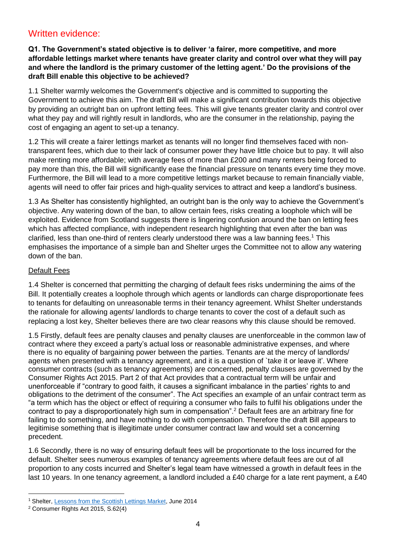# Written evidence:

# **Q1. The Government's stated objective is to deliver 'a fairer, more competitive, and more affordable lettings market where tenants have greater clarity and control over what they will pay and where the landlord is the primary customer of the letting agent.' Do the provisions of the draft Bill enable this objective to be achieved?**

1.1 Shelter warmly welcomes the Government's objective and is committed to supporting the Government to achieve this aim. The draft Bill will make a significant contribution towards this objective by providing an outright ban on upfront letting fees. This will give tenants greater clarity and control over what they pay and will rightly result in landlords, who are the consumer in the relationship, paying the cost of engaging an agent to set-up a tenancy.

1.2 This will create a fairer lettings market as tenants will no longer find themselves faced with nontransparent fees, which due to their lack of consumer power they have little choice but to pay. It will also make renting more affordable; with average fees of more than £200 and many renters being forced to pay more than this, the Bill will significantly ease the financial pressure on tenants every time they move. Furthermore, the Bill will lead to a more competitive lettings market because to remain financially viable, agents will need to offer fair prices and high-quality services to attract and keep a landlord's business.

1.3 As Shelter has consistently highlighted, an outright ban is the only way to achieve the Government's objective. Any watering down of the ban, to allow certain fees, risks creating a loophole which will be exploited. Evidence from Scotland suggests there is lingering confusion around the ban on letting fees which has affected compliance, with independent research highlighting that even after the ban was clarified, less than one-third of renters clearly understood there was a law banning fees.<sup>1</sup> This emphasises the importance of a simple ban and Shelter urges the Committee not to allow any watering down of the ban.

# Default Fees

1.4 Shelter is concerned that permitting the charging of default fees risks undermining the aims of the Bill. It potentially creates a loophole through which agents or landlords can charge disproportionate fees to tenants for defaulting on unreasonable terms in their tenancy agreement. Whilst Shelter understands the rationale for allowing agents/ landlords to charge tenants to cover the cost of a default such as replacing a lost key, Shelter believes there are two clear reasons why this clause should be removed.

1.5 Firstly, default fees are penalty clauses and penalty clauses are unenforceable in the common law of contract where they exceed a party's actual loss or reasonable administrative expenses, and where there is no equality of bargaining power between the parties. Tenants are at the mercy of landlords/ agents when presented with a tenancy agreement, and it is a question of `take it or leave it'. Where consumer contracts (such as tenancy agreements) are concerned, penalty clauses are governed by the Consumer Rights Act 2015. Part 2 of that Act provides that a contractual term will be unfair and unenforceable if "contrary to good faith, it causes a significant imbalance in the parties' rights to and obligations to the detriment of the consumer". The Act specifies an example of an unfair contract term as "a term which has the object or effect of requiring a consumer who fails to fulfil his obligations under the contract to pay a disproportionately high sum in compensation".<sup>2</sup> Default fees are an arbitrary fine for failing to do something, and have nothing to do with compensation. Therefore the draft Bill appears to legitimise something that is illegitimate under consumer contract law and would set a concerning precedent.

1.6 Secondly, there is no way of ensuring default fees will be proportionate to the loss incurred for the default. Shelter sees numerous examples of tenancy agreements where default fees are out of all proportion to any costs incurred and Shelter's legal team have witnessed a growth in default fees in the last 10 years. In one tenancy agreement, a landlord included a £40 charge for a late rent payment, a £40

<sup>1</sup> Shelter[, Lessons from the Scottish Lettings Market,](http://england.shelter.org.uk/professional_resources/policy_and_research/policy_library/policy_library_folder/lessons_from_the_scottish_lettings_market) June 2014

<sup>2</sup> Consumer Rights Act 2015, S.62(4)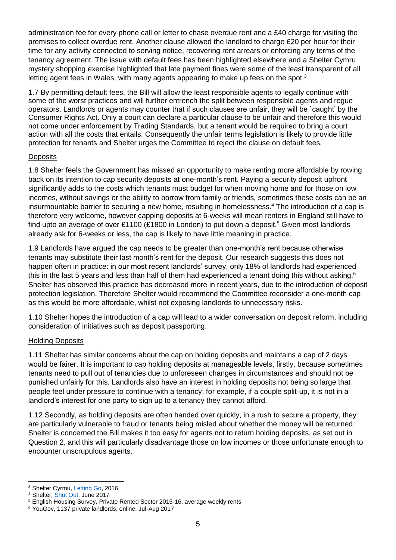administration fee for every phone call or letter to chase overdue rent and a £40 charge for visiting the premises to collect overdue rent. Another clause allowed the landlord to charge £20 per hour for their time for any activity connected to serving notice, recovering rent arrears or enforcing any terms of the tenancy agreement. The issue with default fees has been highlighted elsewhere and a Shelter Cymru mystery shopping exercise highlighted that late payment fines were some of the least transparent of all letting agent fees in Wales, with many agents appearing to make up fees on the spot.<sup>3</sup>

1.7 By permitting default fees, the Bill will allow the least responsible agents to legally continue with some of the worst practices and will further entrench the split between responsible agents and rogue operators. Landlords or agents may counter that if such clauses are unfair, they will be `caught' by the Consumer Rights Act. Only a court can declare a particular clause to be unfair and therefore this would not come under enforcement by Trading Standards, but a tenant would be required to bring a court action with all the costs that entails. Consequently the unfair terms legislation is likely to provide little protection for tenants and Shelter urges the Committee to reject the clause on default fees.

# **Deposits**

1.8 Shelter feels the Government has missed an opportunity to make renting more affordable by rowing back on its intention to cap security deposits at one-month's rent. Paying a security deposit upfront significantly adds to the costs which tenants must budget for when moving home and for those on low incomes, without savings or the ability to borrow from family or friends, sometimes these costs can be an insurmountable barrier to securing a new home, resulting in homelessness. <sup>4</sup> The introduction of a cap is therefore very welcome, however capping deposits at 6-weeks will mean renters in England still have to find upto an average of over £1100 (£1800 in London) to put down a deposit.<sup>5</sup> Given most landlords already ask for 6-weeks or less, the cap is likely to have little meaning in practice.

1.9 Landlords have argued the cap needs to be greater than one-month's rent because otherwise tenants may substitute their last month's rent for the deposit. Our research suggests this does not happen often in practice: in our most recent landlords' survey, only 18% of landlords had experienced this in the last 5 years and less than half of them had experienced a tenant doing this without asking.<sup>6</sup> Shelter has observed this practice has decreased more in recent years, due to the introduction of deposit protection legislation. Therefore Shelter would recommend the Committee reconsider a one-month cap as this would be more affordable, whilst not exposing landlords to unnecessary risks.

1.10 Shelter hopes the introduction of a cap will lead to a wider conversation on deposit reform, including consideration of initiatives such as deposit passporting.

#### Holding Deposits

1.11 Shelter has similar concerns about the cap on holding deposits and maintains a cap of 2 days would be fairer. It is important to cap holding deposits at manageable levels, firstly, because sometimes tenants need to pull out of tenancies due to unforeseen changes in circumstances and should not be punished unfairly for this. Landlords also have an interest in holding deposits not being so large that people feel under pressure to continue with a tenancy; for example, if a couple split-up, it is not in a landlord's interest for one party to sign up to a tenancy they cannot afford.

1.12 Secondly, as holding deposits are often handed over quickly, in a rush to secure a property, they are particularly vulnerable to fraud or tenants being misled about whether the money will be returned. Shelter is concerned the Bill makes it too easy for agents not to return holding deposits, as set out in Question 2, and this will particularly disadvantage those on low incomes or those unfortunate enough to encounter unscrupulous agents.

 <sup>3</sup> Shelter Cyrmu, [Letting Go,](https://sheltercymru.org.uk/wp-content/uploads/2016/08/Letting-Go-Email.pdf) 2016

<sup>4</sup> Shelter, [Shut Out,](https://england.shelter.org.uk/professional_resources/policy_and_research/policy_library/policy_library_folder/briefing_shut_out) June 2017

<sup>5</sup> English Housing Survey, Private Rented Sector 2015-16, average weekly rents

<sup>6</sup> YouGov, 1137 private landlords, online, Jul-Aug 2017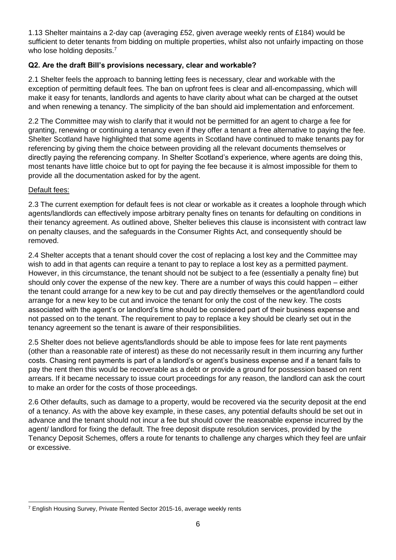1.13 Shelter maintains a 2-day cap (averaging £52, given average weekly rents of £184) would be sufficient to deter tenants from bidding on multiple properties, whilst also not unfairly impacting on those who lose holding deposits.<sup>7</sup>

# **Q2. Are the draft Bill's provisions necessary, clear and workable?**

2.1 Shelter feels the approach to banning letting fees is necessary, clear and workable with the exception of permitting default fees. The ban on upfront fees is clear and all-encompassing, which will make it easy for tenants, landlords and agents to have clarity about what can be charged at the outset and when renewing a tenancy. The simplicity of the ban should aid implementation and enforcement.

2.2 The Committee may wish to clarify that it would not be permitted for an agent to charge a fee for granting, renewing or continuing a tenancy even if they offer a tenant a free alternative to paying the fee. Shelter Scotland have highlighted that some agents in Scotland have continued to make tenants pay for referencing by giving them the choice between providing all the relevant documents themselves or directly paying the referencing company. In Shelter Scotland's experience, where agents are doing this, most tenants have little choice but to opt for paying the fee because it is almost impossible for them to provide all the documentation asked for by the agent.

#### Default fees:

2.3 The current exemption for default fees is not clear or workable as it creates a loophole through which agents/landlords can effectively impose arbitrary penalty fines on tenants for defaulting on conditions in their tenancy agreement. As outlined above, Shelter believes this clause is inconsistent with contract law on penalty clauses, and the safeguards in the Consumer Rights Act, and consequently should be removed.

2.4 Shelter accepts that a tenant should cover the cost of replacing a lost key and the Committee may wish to add in that agents can require a tenant to pay to replace a lost key as a permitted payment. However, in this circumstance, the tenant should not be subject to a fee (essentially a penalty fine) but should only cover the expense of the new key. There are a number of ways this could happen – either the tenant could arrange for a new key to be cut and pay directly themselves or the agent/landlord could arrange for a new key to be cut and invoice the tenant for only the cost of the new key. The costs associated with the agent's or landlord's time should be considered part of their business expense and not passed on to the tenant. The requirement to pay to replace a key should be clearly set out in the tenancy agreement so the tenant is aware of their responsibilities.

2.5 Shelter does not believe agents/landlords should be able to impose fees for late rent payments (other than a reasonable rate of interest) as these do not necessarily result in them incurring any further costs. Chasing rent payments is part of a landlord's or agent's business expense and if a tenant fails to pay the rent then this would be recoverable as a debt or provide a ground for possession based on rent arrears. If it became necessary to issue court proceedings for any reason, the landlord can ask the court to make an order for the costs of those proceedings.

2.6 Other defaults, such as damage to a property, would be recovered via the security deposit at the end of a tenancy. As with the above key example, in these cases, any potential defaults should be set out in advance and the tenant should not incur a fee but should cover the reasonable expense incurred by the agent/ landlord for fixing the default. The free deposit dispute resolution services, provided by the Tenancy Deposit Schemes, offers a route for tenants to challenge any charges which they feel are unfair or excessive.

<sup>7</sup> English Housing Survey, Private Rented Sector 2015-16, average weekly rents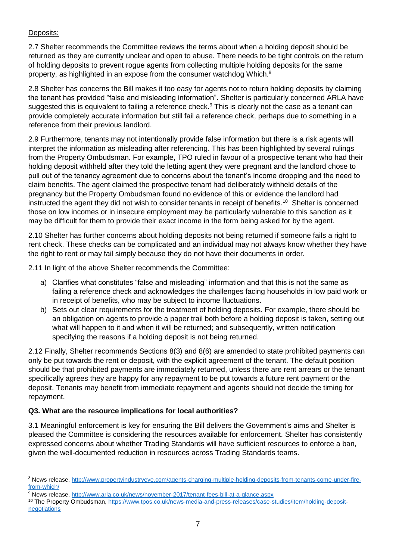# Deposits:

 $\overline{a}$ 

2.7 Shelter recommends the Committee reviews the terms about when a holding deposit should be returned as they are currently unclear and open to abuse. There needs to be tight controls on the return of holding deposits to prevent rogue agents from collecting multiple holding deposits for the same property, as highlighted in an expose from the consumer watchdog Which. $^8$ 

2.8 Shelter has concerns the Bill makes it too easy for agents not to return holding deposits by claiming the tenant has provided "false and misleading information". Shelter is particularly concerned ARLA have suggested this is equivalent to failing a reference check.<sup>9</sup> This is clearly not the case as a tenant can provide completely accurate information but still fail a reference check, perhaps due to something in a reference from their previous landlord.

2.9 Furthermore, tenants may not intentionally provide false information but there is a risk agents will interpret the information as misleading after referencing. This has been highlighted by several rulings from the Property Ombudsman. For example, TPO ruled in favour of a prospective tenant who had their holding deposit withheld after they told the letting agent they were pregnant and the landlord chose to pull out of the tenancy agreement due to concerns about the tenant's income dropping and the need to claim benefits. The agent claimed the prospective tenant had deliberately withheld details of the pregnancy but the Property Ombudsman found no evidence of this or evidence the landlord had instructed the agent they did not wish to consider tenants in receipt of benefits.<sup>10</sup> Shelter is concerned those on low incomes or in insecure employment may be particularly vulnerable to this sanction as it may be difficult for them to provide their exact income in the form being asked for by the agent.

2.10 Shelter has further concerns about holding deposits not being returned if someone fails a right to rent check. These checks can be complicated and an individual may not always know whether they have the right to rent or may fail simply because they do not have their documents in order.

2.11 In light of the above Shelter recommends the Committee:

- a) Clarifies what constitutes "false and misleading" information and that this is not the same as failing a reference check and acknowledges the challenges facing households in low paid work or in receipt of benefits, who may be subject to income fluctuations.
- b) Sets out clear requirements for the treatment of holding deposits. For example, there should be an obligation on agents to provide a paper trail both before a holding deposit is taken, setting out what will happen to it and when it will be returned; and subsequently, written notification specifying the reasons if a holding deposit is not being returned.

2.12 Finally, Shelter recommends Sections 8(3) and 8(6) are amended to state prohibited payments can only be put towards the rent or deposit, with the explicit agreement of the tenant. The default position should be that prohibited payments are immediately returned, unless there are rent arrears or the tenant specifically agrees they are happy for any repayment to be put towards a future rent payment or the deposit. Tenants may benefit from immediate repayment and agents should not decide the timing for repayment.

# **Q3. What are the resource implications for local authorities?**

3.1 Meaningful enforcement is key for ensuring the Bill delivers the Government's aims and Shelter is pleased the Committee is considering the resources available for enforcement. Shelter has consistently expressed concerns about whether Trading Standards will have sufficient resources to enforce a ban, given the well-documented reduction in resources across Trading Standards teams.

<sup>8</sup> News release[, http://www.propertyindustryeye.com/agents-charging-multiple-holding-deposits-from-tenants-come-under-fire](http://www.propertyindustryeye.com/agents-charging-multiple-holding-deposits-from-tenants-come-under-fire-from-which/)[from-which/](http://www.propertyindustryeye.com/agents-charging-multiple-holding-deposits-from-tenants-come-under-fire-from-which/)

<sup>9</sup> News release[, http://www.arla.co.uk/news/november-2017/tenant-fees-bill-at-a-glance.aspx](http://www.arla.co.uk/news/november-2017/tenant-fees-bill-at-a-glance.aspx)

<sup>10</sup> The Property Ombudsman, [https://www.tpos.co.uk/news-media-and-press-releases/case-studies/item/holding-deposit](https://www.tpos.co.uk/news-media-and-press-releases/case-studies/item/holding-deposit-negotiations)[negotiations](https://www.tpos.co.uk/news-media-and-press-releases/case-studies/item/holding-deposit-negotiations)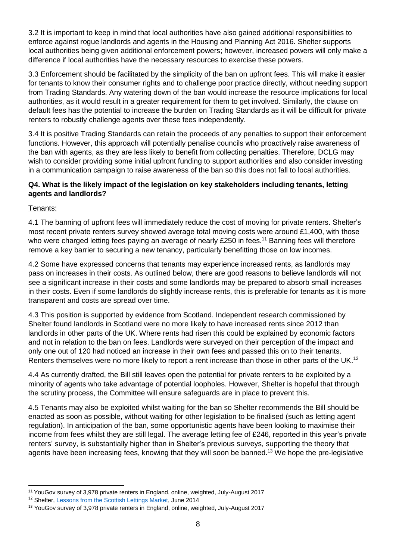3.2 It is important to keep in mind that local authorities have also gained additional responsibilities to enforce against rogue landlords and agents in the Housing and Planning Act 2016. Shelter supports local authorities being given additional enforcement powers; however, increased powers will only make a difference if local authorities have the necessary resources to exercise these powers.

3.3 Enforcement should be facilitated by the simplicity of the ban on upfront fees. This will make it easier for tenants to know their consumer rights and to challenge poor practice directly, without needing support from Trading Standards. Any watering down of the ban would increase the resource implications for local authorities, as it would result in a greater requirement for them to get involved. Similarly, the clause on default fees has the potential to increase the burden on Trading Standards as it will be difficult for private renters to robustly challenge agents over these fees independently.

3.4 It is positive Trading Standards can retain the proceeds of any penalties to support their enforcement functions. However, this approach will potentially penalise councils who proactively raise awareness of the ban with agents, as they are less likely to benefit from collecting penalties. Therefore, DCLG may wish to consider providing some initial upfront funding to support authorities and also consider investing in a communication campaign to raise awareness of the ban so this does not fall to local authorities.

# **Q4. What is the likely impact of the legislation on key stakeholders including tenants, letting agents and landlords?**

# Tenants:

4.1 The banning of upfront fees will immediately reduce the cost of moving for private renters. Shelter's most recent private renters survey showed average total moving costs were around £1,400, with those who were charged letting fees paying an average of nearly £250 in fees.<sup>11</sup> Banning fees will therefore remove a key barrier to securing a new tenancy, particularly benefitting those on low incomes.

4.2 Some have expressed concerns that tenants may experience increased rents, as landlords may pass on increases in their costs. As outlined below, there are good reasons to believe landlords will not see a significant increase in their costs and some landlords may be prepared to absorb small increases in their costs. Even if some landlords do slightly increase rents, this is preferable for tenants as it is more transparent and costs are spread over time.

4.3 This position is supported by evidence from Scotland. Independent research commissioned by Shelter found landlords in Scotland were no more likely to have increased rents since 2012 than landlords in other parts of the UK. Where rents had risen this could be explained by economic factors and not in relation to the ban on fees. Landlords were surveyed on their perception of the impact and only one out of 120 had noticed an increase in their own fees and passed this on to their tenants. Renters themselves were no more likely to report a rent increase than those in other parts of the UK.<sup>12</sup>

4.4 As currently drafted, the Bill still leaves open the potential for private renters to be exploited by a minority of agents who take advantage of potential loopholes. However, Shelter is hopeful that through the scrutiny process, the Committee will ensure safeguards are in place to prevent this.

4.5 Tenants may also be exploited whilst waiting for the ban so Shelter recommends the Bill should be enacted as soon as possible, without waiting for other legislation to be finalised (such as letting agent regulation). In anticipation of the ban, some opportunistic agents have been looking to maximise their income from fees whilst they are still legal. The average letting fee of £246, reported in this year's private renters' survey, is substantially higher than in Shelter's previous surveys, supporting the theory that agents have been increasing fees, knowing that they will soon be banned. <sup>13</sup> We hope the pre-legislative

 <sup>11</sup> YouGov survey of 3,978 private renters in England, online, weighted, July-August 2017

<sup>&</sup>lt;sup>12</sup> Shelter, [Lessons from the Scottish Lettings Market,](http://england.shelter.org.uk/professional_resources/policy_and_research/policy_library/policy_library_folder/lessons_from_the_scottish_lettings_market) June 2014

<sup>&</sup>lt;sup>13</sup> YouGov survey of 3,978 private renters in England, online, weighted, July-August 2017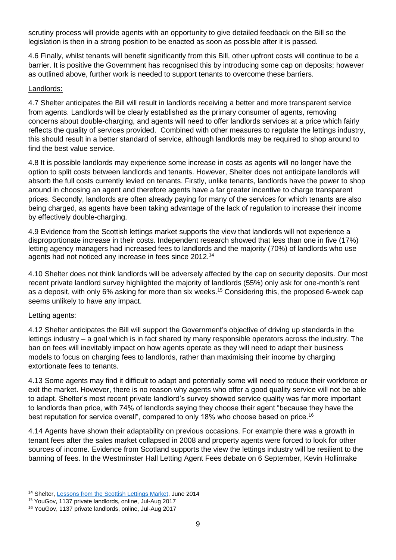scrutiny process will provide agents with an opportunity to give detailed feedback on the Bill so the legislation is then in a strong position to be enacted as soon as possible after it is passed.

4.6 Finally, whilst tenants will benefit significantly from this Bill, other upfront costs will continue to be a barrier. It is positive the Government has recognised this by introducing some cap on deposits; however as outlined above, further work is needed to support tenants to overcome these barriers.

# Landlords:

4.7 Shelter anticipates the Bill will result in landlords receiving a better and more transparent service from agents. Landlords will be clearly established as the primary consumer of agents, removing concerns about double-charging, and agents will need to offer landlords services at a price which fairly reflects the quality of services provided. Combined with other measures to regulate the lettings industry, this should result in a better standard of service, although landlords may be required to shop around to find the best value service.

4.8 It is possible landlords may experience some increase in costs as agents will no longer have the option to split costs between landlords and tenants. However, Shelter does not anticipate landlords will absorb the full costs currently levied on tenants. Firstly, unlike tenants, landlords have the power to shop around in choosing an agent and therefore agents have a far greater incentive to charge transparent prices. Secondly, landlords are often already paying for many of the services for which tenants are also being charged, as agents have been taking advantage of the lack of regulation to increase their income by effectively double-charging.

4.9 Evidence from the Scottish lettings market supports the view that landlords will not experience a disproportionate increase in their costs. Independent research showed that less than one in five (17%) letting agency managers had increased fees to landlords and the majority (70%) of landlords who use agents had not noticed any increase in fees since 2012.<sup>14</sup>

4.10 Shelter does not think landlords will be adversely affected by the cap on security deposits. Our most recent private landlord survey highlighted the majority of landlords (55%) only ask for one-month's rent as a deposit, with only 6% asking for more than six weeks.<sup>15</sup> Considering this, the proposed 6-week cap seems unlikely to have any impact.

#### Letting agents:

4.12 Shelter anticipates the Bill will support the Government's objective of driving up standards in the lettings industry – a goal which is in fact shared by many responsible operators across the industry. The ban on fees will inevitably impact on how agents operate as they will need to adapt their business models to focus on charging fees to landlords, rather than maximising their income by charging extortionate fees to tenants.

4.13 Some agents may find it difficult to adapt and potentially some will need to reduce their workforce or exit the market. However, there is no reason why agents who offer a good quality service will not be able to adapt. Shelter's most recent private landlord's survey showed service quality was far more important to landlords than price, with 74% of landlords saying they choose their agent "because they have the best reputation for service overall", compared to only 18% who choose based on price.<sup>16</sup>

4.14 Agents have shown their adaptability on previous occasions. For example there was a growth in tenant fees after the sales market collapsed in 2008 and property agents were forced to look for other sources of income. Evidence from Scotland supports the view the lettings industry will be resilient to the banning of fees. In the Westminster Hall Letting Agent Fees debate on 6 September, Kevin Hollinrake

 $\overline{a}$ <sup>14</sup> Shelter, [Lessons from the Scottish Lettings Market,](http://england.shelter.org.uk/professional_resources/policy_and_research/policy_library/policy_library_folder/lessons_from_the_scottish_lettings_market) June 2014

<sup>15</sup> YouGov, 1137 private landlords, online, Jul-Aug 2017

<sup>16</sup> YouGov, 1137 private landlords, online, Jul-Aug 2017